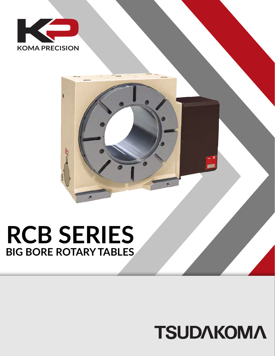

## **RCB SERIES BIG BORE ROTARY TABLES**

## **TSUDAKOMA**

國